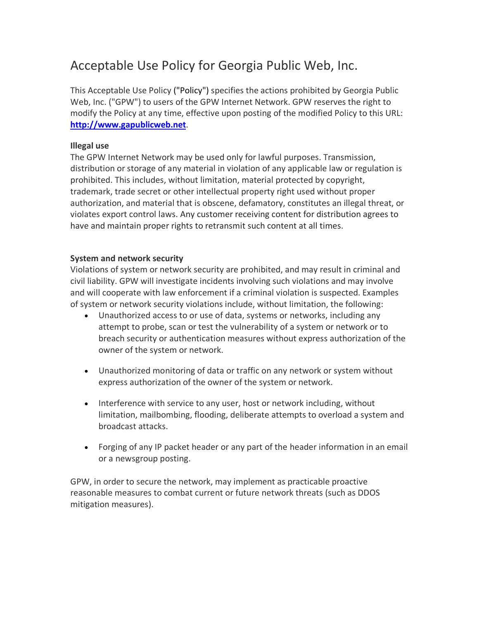# Acceptable Use Policy for Georgia Public Web, Inc.

This Acceptable Use Policy ("Policy") specifies the actions prohibited by Georgia Public Web, Inc. ("GPW") to users of the GPW Internet Network. GPW reserves the right to modify the Policy at any time, effective upon posting of the modified Policy to this URL: **http://www.gapublicweb.net**.

## **Illegal use**

The GPW Internet Network may be used only for lawful purposes. Transmission, distribution or storage of any material in violation of any applicable law or regulation is prohibited. This includes, without limitation, material protected by copyright, trademark, trade secret or other intellectual property right used without proper authorization, and material that is obscene, defamatory, constitutes an illegal threat, or violates export control laws. Any customer receiving content for distribution agrees to have and maintain proper rights to retransmit such content at all times.

## **System and network security**

Violations of system or network security are prohibited, and may result in criminal and civil liability. GPW will investigate incidents involving such violations and may involve and will cooperate with law enforcement if a criminal violation is suspected. Examples of system or network security violations include, without limitation, the following:

- Unauthorized access to or use of data, systems or networks, including any attempt to probe, scan or test the vulnerability of a system or network or to breach security or authentication measures without express authorization of the owner of the system or network.
- Unauthorized monitoring of data or traffic on any network or system without express authorization of the owner of the system or network.
- Interference with service to any user, host or network including, without limitation, mailbombing, flooding, deliberate attempts to overload a system and broadcast attacks.
- Forging of any IP packet header or any part of the header information in an email or a newsgroup posting.

GPW, in order to secure the network, may implement as practicable proactive reasonable measures to combat current or future network threats (such as DDOS mitigation measures).